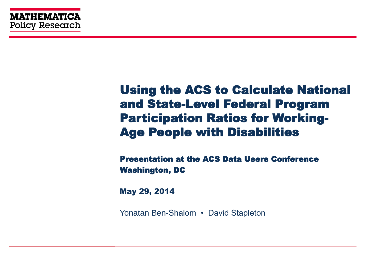#### Using the ACS to Calculate National and State-Level Federal Program Participation Ratios for Working-Age People with Disabilities

Presentation at the ACS Data Users Conference Washington, DC

May 29, 2014

Yonatan Ben-Shalom • David Stapleton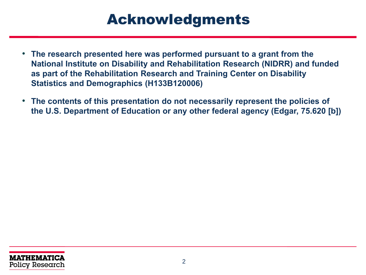# Acknowledgments

- **The research presented here was performed pursuant to a grant from the National Institute on Disability and Rehabilitation Research (NIDRR) and funded as part of the Rehabilitation Research and Training Center on Disability Statistics and Demographics (H133B120006)**
- **The contents of this presentation do not necessarily represent the policies of the U.S. Department of Education or any other federal agency (Edgar, 75.620 [b])**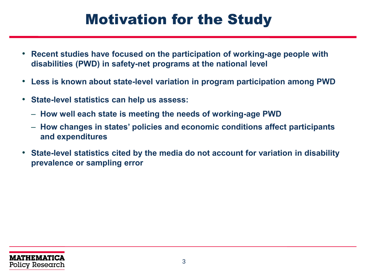# Motivation for the Study

- **Recent studies have focused on the participation of working-age people with disabilities (PWD) in safety-net programs at the national level**
- **Less is known about state-level variation in program participation among PWD**
- **State-level statistics can help us assess:**
	- **How well each state is meeting the needs of working-age PWD**
	- **How changes in states' policies and economic conditions affect participants and expenditures**
- **State-level statistics cited by the media do not account for variation in disability prevalence or sampling error**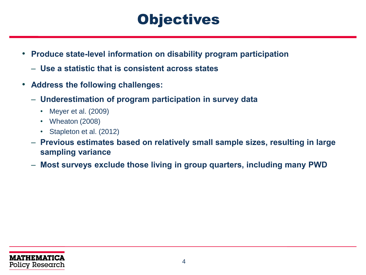# **Objectives**

- **Produce state-level information on disability program participation**
	- **Use a statistic that is consistent across states**
- **Address the following challenges:**
	- **Underestimation of program participation in survey data**
		- Meyer et al. (2009)
		- Wheaton (2008)
		- Stapleton et al. (2012)
	- **Previous estimates based on relatively small sample sizes, resulting in large sampling variance**
	- **Most surveys exclude those living in group quarters, including many PWD**

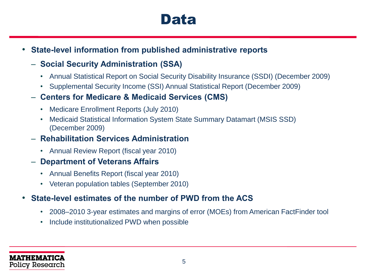### Data

• **State-level information from published administrative reports**

#### – **Social Security Administration (SSA)**

- Annual Statistical Report on Social Security Disability Insurance (SSDI) (December 2009)
- Supplemental Security Income (SSI) Annual Statistical Report (December 2009)

#### – **Centers for Medicare & Medicaid Services (CMS)**

- Medicare Enrollment Reports (July 2010)
- Medicaid Statistical Information System State Summary Datamart (MSIS SSD) (December 2009)

#### – **Rehabilitation Services Administration**

• Annual Review Report (fiscal year 2010)

#### – **Department of Veterans Affairs**

- Annual Benefits Report (fiscal year 2010)
- Veteran population tables (September 2010)

#### • **State-level estimates of the number of PWD from the ACS**

- 2008–2010 3-year estimates and margins of error (MOEs) from American FactFinder tool
- Include institutionalized PWD when possible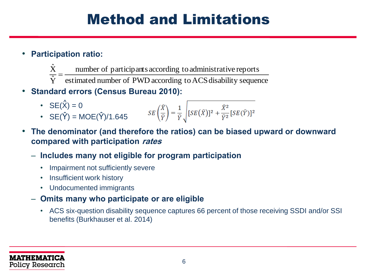# Method and Limitations

- **Participation ratio:**
	- number of participants according to administrative reports  $\hat{\text{X}}$  $=$
	- $\frac{\overline{Y}}{\overline{Y}}$  estimated number of PWD according to ACS disability sequence
- **Standard errors (Census Bureau 2010):**
	- $SE(X) = 0$ •  $SE(\hat{Y}) = MOE(\hat{Y})/1.645$ **^**
- **The denominator (and therefore the ratios) can be biased upward or downward compared with participation rates**
	- **Includes many not eligible for program participation**
		- Impairment not sufficiently severe
		- Insufficient work history
		- Undocumented immigrants
	- **Omits many who participate or are eligible**
		- ACS six-question disability sequence captures 66 percent of those receiving SSDI and/or SSI benefits (Burkhauser et al. 2014)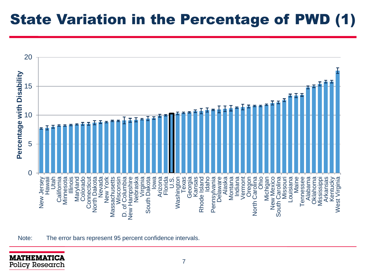# State Variation in the Percentage of PWD (1)



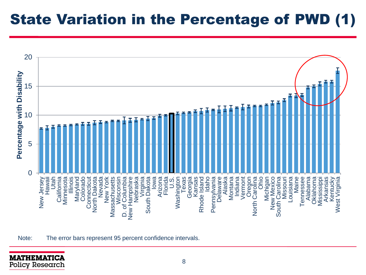# State Variation in the Percentage of PWD (1)



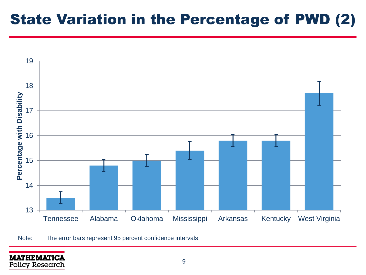# State Variation in the Percentage of PWD (2)



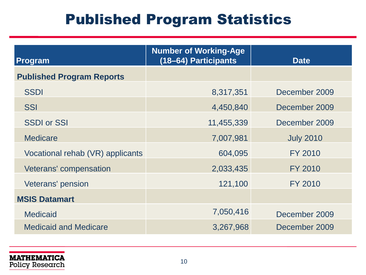# Published Program Statistics

| <b>Program</b>                   | <b>Number of Working-Age</b><br>(18-64) Participants | <b>Date</b>      |
|----------------------------------|------------------------------------------------------|------------------|
| <b>Published Program Reports</b> |                                                      |                  |
| <b>SSDI</b>                      | 8,317,351                                            | December 2009    |
| <b>SSI</b>                       | 4,450,840                                            | December 2009    |
| <b>SSDI or SSI</b>               | 11,455,339                                           | December 2009    |
| <b>Medicare</b>                  | 7,007,981                                            | <b>July 2010</b> |
| Vocational rehab (VR) applicants | 604,095                                              | <b>FY 2010</b>   |
| Veterans' compensation           | 2,033,435                                            | FY 2010          |
| Veterans' pension                | 121,100                                              | FY 2010          |
| <b>MSIS Datamart</b>             |                                                      |                  |
| <b>Medicaid</b>                  | 7,050,416                                            | December 2009    |
| <b>Medicaid and Medicare</b>     | 3,267,968                                            | December 2009    |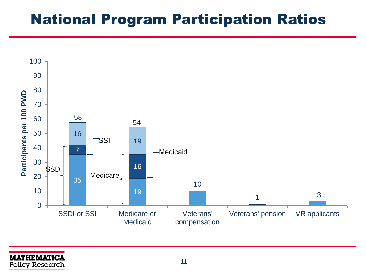## National Program Participation Ratios

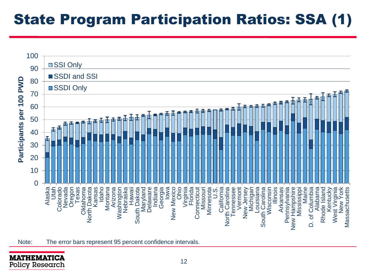# State Program Participation Ratios: SSA (1)



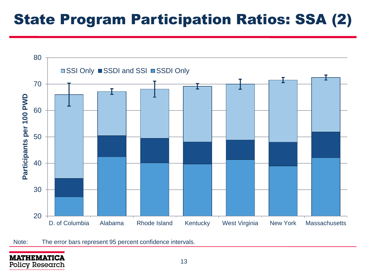# State Program Participation Ratios: SSA (2)

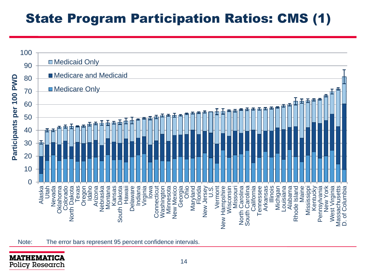### State Program Participation Ratios: CMS (1)



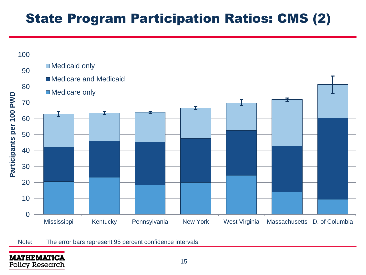### State Program Participation Ratios: CMS (2)

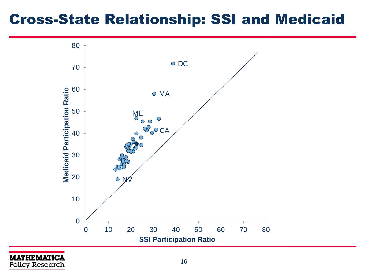## Cross-State Relationship: SSI and Medicaid



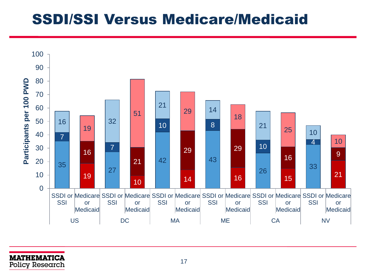### SSDI/SSI Versus Medicare/Medicaid

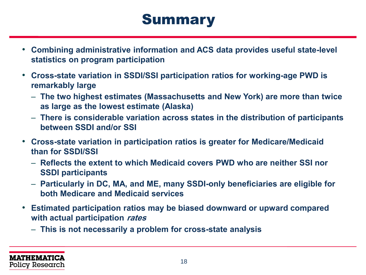# **Summary**

- **Combining administrative information and ACS data provides useful state-level statistics on program participation**
- **Cross-state variation in SSDI/SSI participation ratios for working-age PWD is remarkably large**
	- **The two highest estimates (Massachusetts and New York) are more than twice as large as the lowest estimate (Alaska)**
	- **There is considerable variation across states in the distribution of participants between SSDI and/or SSI**
- **Cross-state variation in participation ratios is greater for Medicare/Medicaid than for SSDI/SSI**
	- **Reflects the extent to which Medicaid covers PWD who are neither SSI nor SSDI participants**
	- **Particularly in DC, MA, and ME, many SSDI-only beneficiaries are eligible for both Medicare and Medicaid services**
- **Estimated participation ratios may be biased downward or upward compared with actual participation rates**
	- **This is not necessarily a problem for cross-state analysis**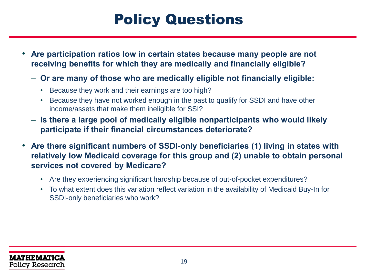# Policy Questions

- **Are participation ratios low in certain states because many people are not receiving benefits for which they are medically and financially eligible?**
	- **Or are many of those who are medically eligible not financially eligible:**
		- Because they work and their earnings are too high?
		- Because they have not worked enough in the past to qualify for SSDI and have other income/assets that make them ineligible for SSI?
	- **Is there a large pool of medically eligible nonparticipants who would likely participate if their financial circumstances deteriorate?**
- **Are there significant numbers of SSDI-only beneficiaries (1) living in states with relatively low Medicaid coverage for this group and (2) unable to obtain personal services not covered by Medicare?**
	- Are they experiencing significant hardship because of out-of-pocket expenditures?
	- To what extent does this variation reflect variation in the availability of Medicaid Buy-In for SSDI-only beneficiaries who work?